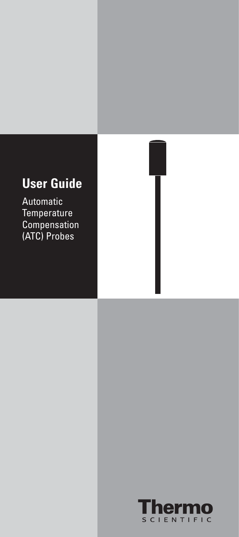# **User Guide**

Automatic **Temperature Compensation** (ATC) Probes

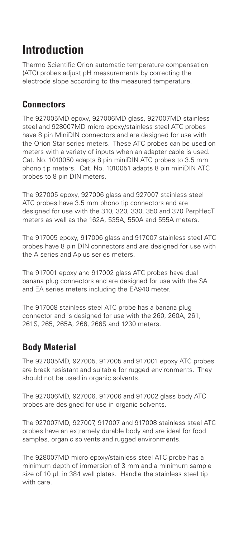### **Introduction**

Thermo Scientific Orion automatic temperature compensation (ATC) probes adjust pH measurements by correcting the electrode slope according to the measured temperature.

### **Connectors**

The 927005MD epoxy, 927006MD glass, 927007MD stainless steel and 928007MD micro epoxy/stainless steel ATC probes have 8 pin MiniDIN connectors and are designed for use with the Orion Star series meters. These ATC probes can be used on meters with a variety of inputs when an adapter cable is used. Cat. No. 1010050 adapts 8 pin miniDIN ATC probes to 3.5 mm phono tip meters. Cat. No. 1010051 adapts 8 pin miniDIN ATC probes to 8 pin DIN meters.

The 927005 epoxy, 927006 glass and 927007 stainless steel ATC probes have 3.5 mm phono tip connectors and are designed for use with the 310, 320, 330, 350 and 370 PerpHecT meters as well as the 162A, 535A, 550A and 555A meters.

The 917005 epoxy, 917006 glass and 917007 stainless steel ATC probes have 8 pin DIN connectors and are designed for use with the A series and Aplus series meters.

The 917001 epoxy and 917002 glass ATC probes have dual banana plug connectors and are designed for use with the SA and EA series meters including the EA940 meter.

The 917008 stainless steel ATC probe has a banana plug connector and is designed for use with the 260, 260A, 261, 261S, 265, 265A, 266, 266S and 1230 meters.

### **Body Material**

The 927005MD, 927005, 917005 and 917001 epoxy ATC probes are break resistant and suitable for rugged environments. They should not be used in organic solvents.

The 927006MD, 927006, 917006 and 917002 glass body ATC probes are designed for use in organic solvents.

The 927007MD, 927007, 917007 and 917008 stainless steel ATC probes have an extremely durable body and are ideal for food samples, organic solvents and rugged environments.

The 928007MD micro epoxy/stainless steel ATC probe has a minimum depth of immersion of 3 mm and a minimum sample size of 10 µL in 384 well plates. Handle the stainless steel tip with care.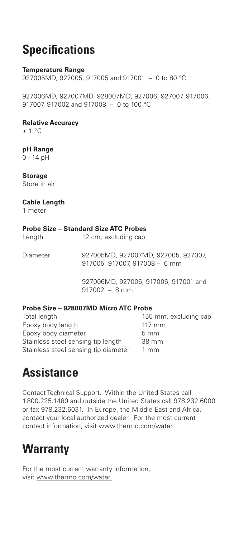## **Specifications**

#### **Temperature Range**

927005MD, 927005, 917005 and 917001 – 0 to 80 °C

927006MD, 927007MD, 928007MD, 927006, 927007, 917006, 917007, 917002 and 917008 – 0 to 100 °C

**Relative Accuracy**  $± 1 °C$ 

**pH Range**

0 - 14 pH

**Storage** Store in air

#### **Cable Length**

1 meter

#### **Probe Size – Standard Size ATC Probes**

| Length | 12 cm, excluding cap |  |
|--------|----------------------|--|
|        |                      |  |

Diameter 927005MD, 927007MD, 927005, 927007, 917005, 917007, 917008 – 6 mm

> 927006MD, 927006, 917006, 917001 and 917002 – 8 mm

#### **Probe Size – 928007MD Micro ATC Probe**

Total length 155 mm, excluding cap Epoxy body length 117 mm Epoxy body diameter 5 mm Stainless steel sensing tip length 38 mm Stainless steel sensing tip diameter 1 mm

### **Assistance**

Contact Technical Support. Within the United States call 1.800.225.1480 and outside the United States call 978.232.6000 or fax 978.232.6031. In Europe, the Middle East and Africa, contact your local authorized dealer. For the most current contact information, visit www.thermo.com/water.

## **Warranty**

For the most current warranty information, visit www.thermo.com/water.